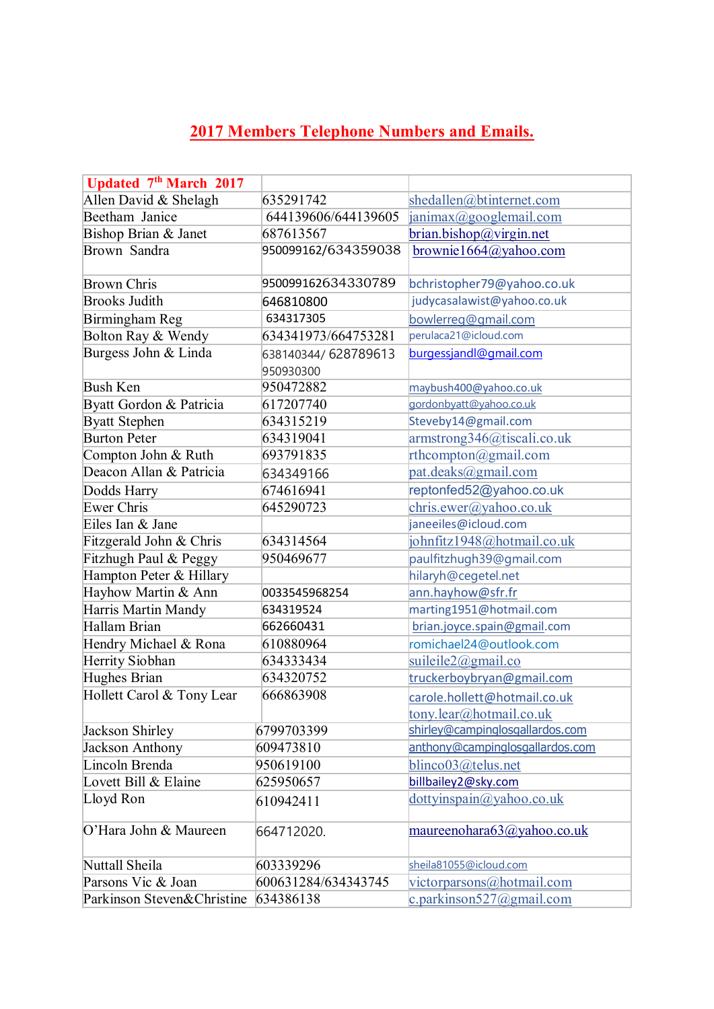## **2017 [Members Telephone Numbers and Emails.](http://www.bowlingalmeria.com/archives/1602)**

| Updated 7th March 2017     |                     |                                 |
|----------------------------|---------------------|---------------------------------|
| Allen David & Shelagh      | 635291742           | shedallen@btinternet.com        |
| Beetham Janice             | 644139606/644139605 | janimax@googlemail.com          |
| Bishop Brian & Janet       | 687613567           | brian.bishop@virgin.net         |
| Brown Sandra               | 950099162/634359038 | brownie1664@yahoo.com           |
|                            |                     |                                 |
| <b>Brown Chris</b>         | 950099162634330789  | bchristopher79@yahoo.co.uk      |
| <b>Brooks Judith</b>       | 646810800           | judycasalawist@yahoo.co.uk      |
| Birmingham Reg             | 634317305           | bowlerreg@gmail.com             |
| Bolton Ray & Wendy         | 634341973/664753281 | perulaca21@icloud.com           |
| Burgess John & Linda       | 638140344/628789613 | burgessjandl@gmail.com          |
|                            | 950930300           |                                 |
| <b>Bush Ken</b>            | 950472882           | maybush400@yahoo.co.uk          |
| Byatt Gordon & Patricia    | 617207740           | gordonbyatt@yahoo.co.uk         |
| <b>Byatt Stephen</b>       | 634315219           | Steveby14@gmail.com             |
| <b>Burton Peter</b>        | 634319041           | armstrong346@tiscali.co.uk      |
| Compton John & Ruth        | 693791835           | rthcompton@gmail.com            |
| Deacon Allan & Patricia    | 634349166           | pat.deaks@gmail.com             |
| Dodds Harry                | 674616941           | reptonfed52@yahoo.co.uk         |
| <b>Ewer Chris</b>          | 645290723           | chris.ewer@yahoo.co.uk          |
| Eiles Ian & Jane           |                     | janeeiles@icloud.com            |
| Fitzgerald John & Chris    | 634314564           | johnfitz1948@hotmail.co.uk      |
| Fitzhugh Paul & Peggy      | 950469677           | paulfitzhugh39@gmail.com        |
| Hampton Peter & Hillary    |                     | hilaryh@cegetel.net             |
| Hayhow Martin & Ann        | 0033545968254       | ann.hayhow@sfr.fr               |
| Harris Martin Mandy        | 634319524           | marting1951@hotmail.com         |
| Hallam Brian               | 662660431           | brian.joyce.spain@gmail.com     |
| Hendry Michael & Rona      | 610880964           | romichael24@outlook.com         |
| Herrity Siobhan            | 634333434           | suileile2@gmail.co              |
| Hughes Brian               | 634320752           | truckerboybryan@gmail.com       |
| Hollett Carol & Tony Lear  | 666863908           | carole.hollett@hotmail.co.uk    |
|                            |                     | tony.lear@hotmail.co.uk         |
| Jackson Shirley            | 6799703399          | shirley@campinglosgallardos.com |
| Jackson Anthony            | 609473810           | anthony@campinglosgallardos.com |
| Lincoln Brenda             | 950619100           | blinco03@telus.net              |
| Lovett Bill & Elaine       | 625950657           | billbailey2@sky.com             |
| Lloyd Ron                  | 610942411           | dot(vinspain@yahoo.co.uk)       |
| O'Hara John & Maureen      | 664712020.          | maureenohara63@yahoo.co.uk      |
| Nuttall Sheila             | 603339296           | sheila81055@icloud.com          |
| Parsons Vic & Joan         | 600631284/634343745 | victorparsons@hotmail.com       |
| Parkinson Steven&Christine | 634386138           | c.parkinson527@gmail.com        |
|                            |                     |                                 |